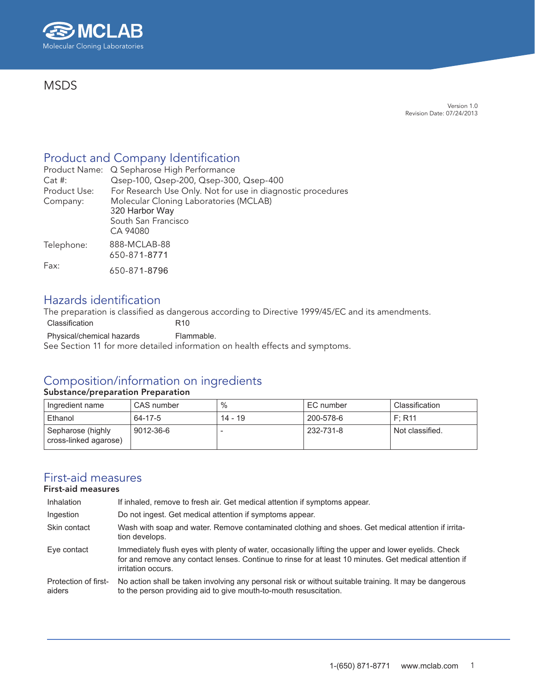

### **MSDS**

Version 1.0 Revision Date: 07/24/2013

### Product and Company Identification

|              | Product Name: Q Sepharose High Performance                  |
|--------------|-------------------------------------------------------------|
| $Cat$ #:     | Qsep-100, Qsep-200, Qsep-300, Qsep-400                      |
| Product Use: | For Research Use Only. Not for use in diagnostic procedures |
| Company:     | Molecular Cloning Laboratories (MCLAB)                      |
|              | 320 Harbor Way                                              |
|              | South San Francisco                                         |
|              | CA 94080                                                    |
| Telephone:   | 888-MCLAB-88                                                |
|              | 650-871-8771                                                |
| Fax:         |                                                             |
|              | 650-871-8796                                                |

### Hazards identification

The preparation is classified as dangerous according to Directive 1999/45/EC and its amendments.

Classification R10 Physical/chemical hazards Flammable. See Section 11 for more detailed information on health effects and symptoms.

### Composition/information on ingredients

#### Substance/preparation Preparation

| Ingredient name                            | CAS number | $\%$      | EC number | Classification  |
|--------------------------------------------|------------|-----------|-----------|-----------------|
| Ethanol                                    | 64-17-5    | $14 - 19$ | 200-578-6 | F: R11          |
| Sepharose (highly<br>cross-linked agarose) | 9012-36-6  |           | 232-731-8 | Not classified. |

### First-aid measures

### First-aid measures

| Inhalation                     | If inhaled, remove to fresh air. Get medical attention if symptoms appear.                                                                                                                                                           |
|--------------------------------|--------------------------------------------------------------------------------------------------------------------------------------------------------------------------------------------------------------------------------------|
| Ingestion                      | Do not ingest. Get medical attention if symptoms appear.                                                                                                                                                                             |
| Skin contact                   | Wash with soap and water. Remove contaminated clothing and shoes. Get medical attention if irrita-<br>tion develops.                                                                                                                 |
| Eve contact                    | Immediately flush eyes with plenty of water, occasionally lifting the upper and lower eyelids. Check<br>for and remove any contact lenses. Continue to rinse for at least 10 minutes. Get medical attention if<br>irritation occurs. |
| Protection of first-<br>aiders | No action shall be taken involving any personal risk or without suitable training. It may be dangerous<br>to the person providing aid to give mouth-to-mouth resuscitation.                                                          |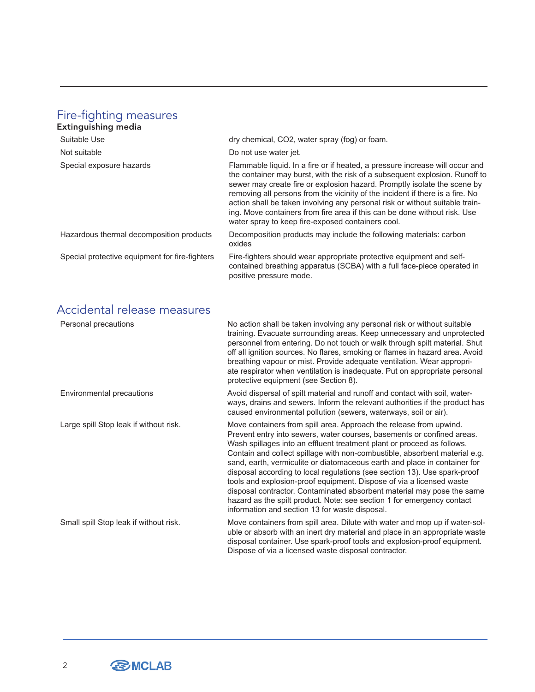### Fire-fighting measures

| Extinguishing media                            |                                                                                                                                                                                                                                                                                                                                                                                                                                                                                                                                            |
|------------------------------------------------|--------------------------------------------------------------------------------------------------------------------------------------------------------------------------------------------------------------------------------------------------------------------------------------------------------------------------------------------------------------------------------------------------------------------------------------------------------------------------------------------------------------------------------------------|
| Suitable Use                                   | dry chemical, CO2, water spray (fog) or foam.                                                                                                                                                                                                                                                                                                                                                                                                                                                                                              |
| Not suitable                                   | Do not use water jet.                                                                                                                                                                                                                                                                                                                                                                                                                                                                                                                      |
| Special exposure hazards                       | Flammable liquid. In a fire or if heated, a pressure increase will occur and<br>the container may burst, with the risk of a subsequent explosion. Runoff to<br>sewer may create fire or explosion hazard. Promptly isolate the scene by<br>removing all persons from the vicinity of the incident if there is a fire. No<br>action shall be taken involving any personal risk or without suitable train-<br>ing. Move containers from fire area if this can be done without risk. Use<br>water spray to keep fire-exposed containers cool. |
| Hazardous thermal decomposition products       | Decomposition products may include the following materials: carbon<br>oxides                                                                                                                                                                                                                                                                                                                                                                                                                                                               |
| Special protective equipment for fire-fighters | Fire-fighters should wear appropriate protective equipment and self-<br>contained breathing apparatus (SCBA) with a full face-piece operated in<br>positive pressure mode.                                                                                                                                                                                                                                                                                                                                                                 |

# Accidental release measures

| Personal precautions                   | No action shall be taken involving any personal risk or without suitable<br>training. Evacuate surrounding areas. Keep unnecessary and unprotected<br>personnel from entering. Do not touch or walk through spilt material. Shut<br>off all ignition sources. No flares, smoking or flames in hazard area. Avoid<br>breathing vapour or mist. Provide adequate ventilation. Wear appropri-<br>ate respirator when ventilation is inadequate. Put on appropriate personal<br>protective equipment (see Section 8).                                                                                                                                                                                                                            |
|----------------------------------------|----------------------------------------------------------------------------------------------------------------------------------------------------------------------------------------------------------------------------------------------------------------------------------------------------------------------------------------------------------------------------------------------------------------------------------------------------------------------------------------------------------------------------------------------------------------------------------------------------------------------------------------------------------------------------------------------------------------------------------------------|
| Environmental precautions              | Avoid dispersal of spilt material and runoff and contact with soil, water-<br>ways, drains and sewers. Inform the relevant authorities if the product has<br>caused environmental pollution (sewers, waterways, soil or air).                                                                                                                                                                                                                                                                                                                                                                                                                                                                                                                |
| Large spill Stop leak if without risk. | Move containers from spill area. Approach the release from upwind.<br>Prevent entry into sewers, water courses, basements or confined areas.<br>Wash spillages into an effluent treatment plant or proceed as follows.<br>Contain and collect spillage with non-combustible, absorbent material e.g.<br>sand, earth, vermiculite or diatomaceous earth and place in container for<br>disposal according to local regulations (see section 13). Use spark-proof<br>tools and explosion-proof equipment. Dispose of via a licensed waste<br>disposal contractor. Contaminated absorbent material may pose the same<br>hazard as the spilt product. Note: see section 1 for emergency contact<br>information and section 13 for waste disposal. |
| Small spill Stop leak if without risk. | Move containers from spill area. Dilute with water and mop up if water-sol-<br>uble or absorb with an inert dry material and place in an appropriate waste<br>disposal container. Use spark-proof tools and explosion-proof equipment.<br>Dispose of via a licensed waste disposal contractor.                                                                                                                                                                                                                                                                                                                                                                                                                                               |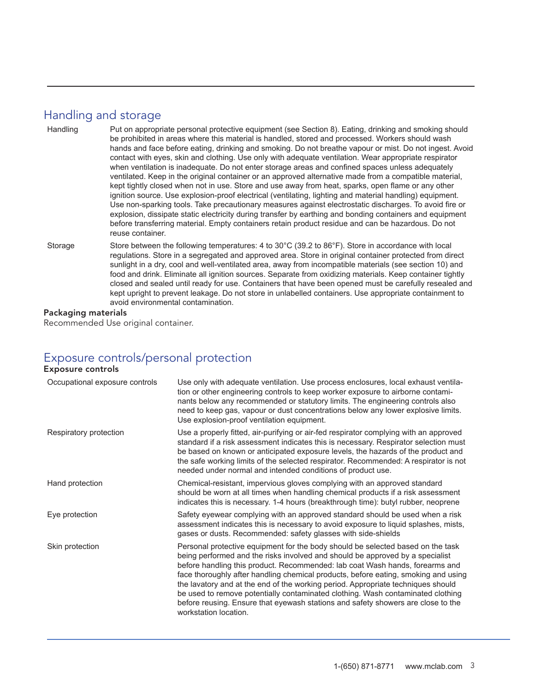### Handling and storage

- Handling Put on appropriate personal protective equipment (see Section 8). Eating, drinking and smoking should be prohibited in areas where this material is handled, stored and processed. Workers should wash hands and face before eating, drinking and smoking. Do not breathe vapour or mist. Do not ingest. Avoid contact with eyes, skin and clothing. Use only with adequate ventilation. Wear appropriate respirator when ventilation is inadequate. Do not enter storage areas and confined spaces unless adequately ventilated. Keep in the original container or an approved alternative made from a compatible material, kept tightly closed when not in use. Store and use away from heat, sparks, open flame or any other ignition source. Use explosion-proof electrical (ventilating, lighting and material handling) equipment. Use non-sparking tools. Take precautionary measures against electrostatic discharges. To avoid fire or explosion, dissipate static electricity during transfer by earthing and bonding containers and equipment before transferring material. Empty containers retain product residue and can be hazardous. Do not reuse container. Storage Store between the following temperatures: 4 to 30°C (39.2 to 86°F). Store in accordance with local regulations. Store in a segregated and approved area. Store in original container protected from direct
- sunlight in a dry, cool and well-ventilated area, away from incompatible materials (see section 10) and food and drink. Eliminate all ignition sources. Separate from oxidizing materials. Keep container tightly closed and sealed until ready for use. Containers that have been opened must be carefully resealed and kept upright to prevent leakage. Do not store in unlabelled containers. Use appropriate containment to avoid environmental contamination.

#### Packaging materials

Recommended Use original container.

# Exposure controls/personal protection

#### Exposure controls

| Occupational exposure controls | Use only with adequate ventilation. Use process enclosures, local exhaust ventila-<br>tion or other engineering controls to keep worker exposure to airborne contami-<br>nants below any recommended or statutory limits. The engineering controls also<br>need to keep gas, vapour or dust concentrations below any lower explosive limits.<br>Use explosion-proof ventilation equipment.                                                                                                                                                                                                                                 |
|--------------------------------|----------------------------------------------------------------------------------------------------------------------------------------------------------------------------------------------------------------------------------------------------------------------------------------------------------------------------------------------------------------------------------------------------------------------------------------------------------------------------------------------------------------------------------------------------------------------------------------------------------------------------|
| Respiratory protection         | Use a properly fitted, air-purifying or air-fed respirator complying with an approved<br>standard if a risk assessment indicates this is necessary. Respirator selection must<br>be based on known or anticipated exposure levels, the hazards of the product and<br>the safe working limits of the selected respirator. Recommended: A respirator is not<br>needed under normal and intended conditions of product use.                                                                                                                                                                                                   |
| Hand protection                | Chemical-resistant, impervious gloves complying with an approved standard<br>should be worn at all times when handling chemical products if a risk assessment<br>indicates this is necessary. 1-4 hours (breakthrough time): butyl rubber, neoprene                                                                                                                                                                                                                                                                                                                                                                        |
| Eye protection                 | Safety eyewear complying with an approved standard should be used when a risk<br>assessment indicates this is necessary to avoid exposure to liquid splashes, mists,<br>gases or dusts. Recommended: safety glasses with side-shields                                                                                                                                                                                                                                                                                                                                                                                      |
| Skin protection                | Personal protective equipment for the body should be selected based on the task<br>being performed and the risks involved and should be approved by a specialist<br>before handling this product. Recommended: lab coat Wash hands, forearms and<br>face thoroughly after handling chemical products, before eating, smoking and using<br>the lavatory and at the end of the working period. Appropriate techniques should<br>be used to remove potentially contaminated clothing. Wash contaminated clothing<br>before reusing. Ensure that eyewash stations and safety showers are close to the<br>workstation location. |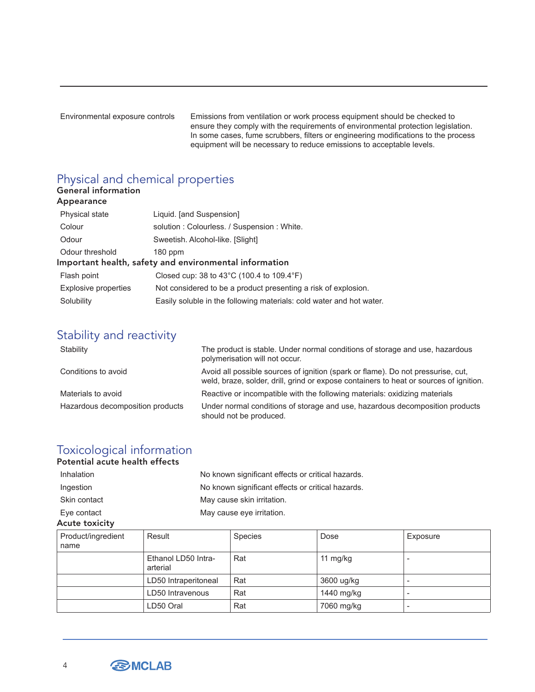Environmental exposure controls Emissions from ventilation or work process equipment should be checked to ensure they comply with the requirements of environmental protection legislation. In some cases, fume scrubbers, filters or engineering modifications to the process equipment will be necessary to reduce emissions to acceptable levels.

# Physical and chemical properties

| <b>General information</b><br>Appearance |                                                                      |  |
|------------------------------------------|----------------------------------------------------------------------|--|
| Physical state                           | Liquid. [and Suspension]                                             |  |
| Colour                                   | solution: Colourless. / Suspension: White.                           |  |
| Odour                                    | Sweetish. Alcohol-like. [Slight]                                     |  |
| Odour threshold                          | 180 ppm                                                              |  |
|                                          | Important health, safety and environmental information               |  |
| Flash point                              | Closed cup: 38 to 43 $^{\circ}$ C (100.4 to 109.4 $^{\circ}$ F)      |  |
| Explosive properties                     | Not considered to be a product presenting a risk of explosion.       |  |
| Solubility                               | Easily soluble in the following materials: cold water and hot water. |  |

# Stability and reactivity

| Stability                        | The product is stable. Under normal conditions of storage and use, hazardous<br>polymerisation will not occur.                                                             |
|----------------------------------|----------------------------------------------------------------------------------------------------------------------------------------------------------------------------|
| Conditions to avoid              | Avoid all possible sources of ignition (spark or flame). Do not pressurise, cut,<br>weld, braze, solder, drill, grind or expose containers to heat or sources of ignition. |
| Materials to avoid               | Reactive or incompatible with the following materials: oxidizing materials                                                                                                 |
| Hazardous decomposition products | Under normal conditions of storage and use, hazardous decomposition products<br>should not be produced.                                                                    |

# Toxicological information

Potential acute health effects

| Inhalation   | No known significant effects or critical hazards. |
|--------------|---------------------------------------------------|
| Ingestion    | No known significant effects or critical hazards. |
| Skin contact | May cause skin irritation.                        |
| Eye contact  | May cause eye irritation.                         |
|              |                                                   |

#### Acute toxicity

| Product/ingredient<br>name | Result                          | <b>Species</b> | Dose       | Exposure                 |
|----------------------------|---------------------------------|----------------|------------|--------------------------|
|                            | Ethanol LD50 Intra-<br>arterial | Rat            | 11 mg/kg   |                          |
|                            | LD50 Intraperitoneal            | Rat            | 3600 ug/kg |                          |
|                            | LD50 Intravenous                | Rat            | 1440 mg/kg | $\overline{\phantom{a}}$ |
|                            | LD50 Oral                       | Rat            | 7060 mg/kg |                          |



4